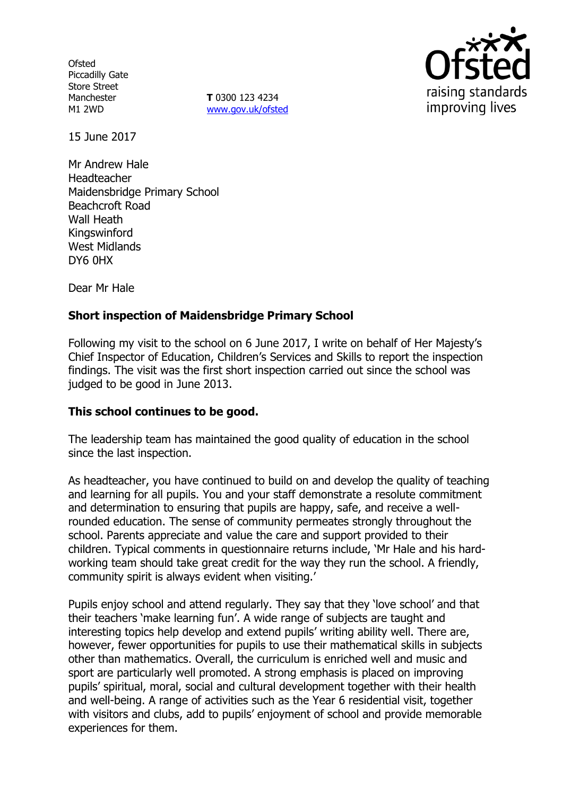**Ofsted** Piccadilly Gate Store Street Manchester M1 2WD

**T** 0300 123 4234 www.gov.uk/ofsted



15 June 2017

Mr Andrew Hale Headteacher Maidensbridge Primary School Beachcroft Road Wall Heath Kingswinford West Midlands DY6 0HX

Dear Mr Hale

# **Short inspection of Maidensbridge Primary School**

Following my visit to the school on 6 June 2017, I write on behalf of Her Majesty's Chief Inspector of Education, Children's Services and Skills to report the inspection findings. The visit was the first short inspection carried out since the school was judged to be good in June 2013.

### **This school continues to be good.**

The leadership team has maintained the good quality of education in the school since the last inspection.

As headteacher, you have continued to build on and develop the quality of teaching and learning for all pupils. You and your staff demonstrate a resolute commitment and determination to ensuring that pupils are happy, safe, and receive a wellrounded education. The sense of community permeates strongly throughout the school. Parents appreciate and value the care and support provided to their children. Typical comments in questionnaire returns include, 'Mr Hale and his hardworking team should take great credit for the way they run the school. A friendly, community spirit is always evident when visiting.'

Pupils enjoy school and attend regularly. They say that they 'love school' and that their teachers 'make learning fun'. A wide range of subjects are taught and interesting topics help develop and extend pupils' writing ability well. There are, however, fewer opportunities for pupils to use their mathematical skills in subjects other than mathematics. Overall, the curriculum is enriched well and music and sport are particularly well promoted. A strong emphasis is placed on improving pupils' spiritual, moral, social and cultural development together with their health and well-being. A range of activities such as the Year 6 residential visit, together with visitors and clubs, add to pupils' enjoyment of school and provide memorable experiences for them.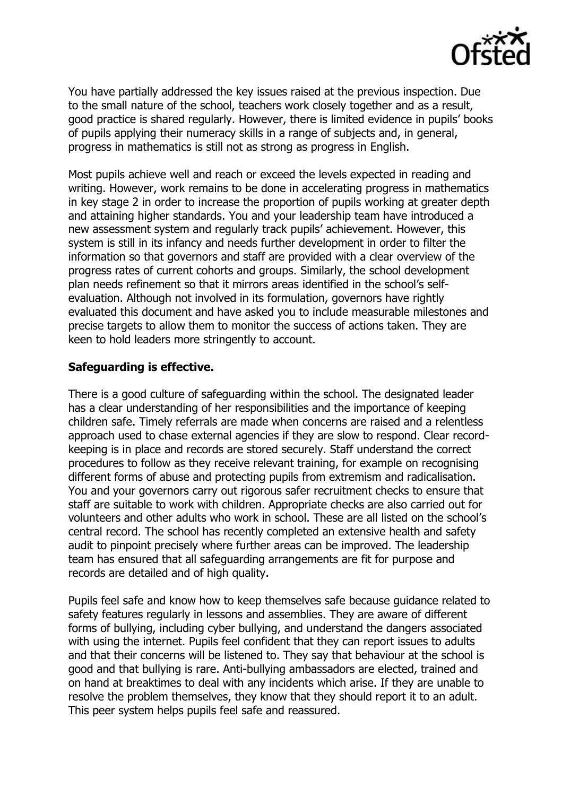

You have partially addressed the key issues raised at the previous inspection. Due to the small nature of the school, teachers work closely together and as a result, good practice is shared regularly. However, there is limited evidence in pupils' books of pupils applying their numeracy skills in a range of subjects and, in general, progress in mathematics is still not as strong as progress in English.

Most pupils achieve well and reach or exceed the levels expected in reading and writing. However, work remains to be done in accelerating progress in mathematics in key stage 2 in order to increase the proportion of pupils working at greater depth and attaining higher standards. You and your leadership team have introduced a new assessment system and regularly track pupils' achievement. However, this system is still in its infancy and needs further development in order to filter the information so that governors and staff are provided with a clear overview of the progress rates of current cohorts and groups. Similarly, the school development plan needs refinement so that it mirrors areas identified in the school's selfevaluation. Although not involved in its formulation, governors have rightly evaluated this document and have asked you to include measurable milestones and precise targets to allow them to monitor the success of actions taken. They are keen to hold leaders more stringently to account.

## **Safeguarding is effective.**

There is a good culture of safeguarding within the school. The designated leader has a clear understanding of her responsibilities and the importance of keeping children safe. Timely referrals are made when concerns are raised and a relentless approach used to chase external agencies if they are slow to respond. Clear recordkeeping is in place and records are stored securely. Staff understand the correct procedures to follow as they receive relevant training, for example on recognising different forms of abuse and protecting pupils from extremism and radicalisation. You and your governors carry out rigorous safer recruitment checks to ensure that staff are suitable to work with children. Appropriate checks are also carried out for volunteers and other adults who work in school. These are all listed on the school's central record. The school has recently completed an extensive health and safety audit to pinpoint precisely where further areas can be improved. The leadership team has ensured that all safeguarding arrangements are fit for purpose and records are detailed and of high quality.

Pupils feel safe and know how to keep themselves safe because guidance related to safety features regularly in lessons and assemblies. They are aware of different forms of bullying, including cyber bullying, and understand the dangers associated with using the internet. Pupils feel confident that they can report issues to adults and that their concerns will be listened to. They say that behaviour at the school is good and that bullying is rare. Anti-bullying ambassadors are elected, trained and on hand at breaktimes to deal with any incidents which arise. If they are unable to resolve the problem themselves, they know that they should report it to an adult. This peer system helps pupils feel safe and reassured.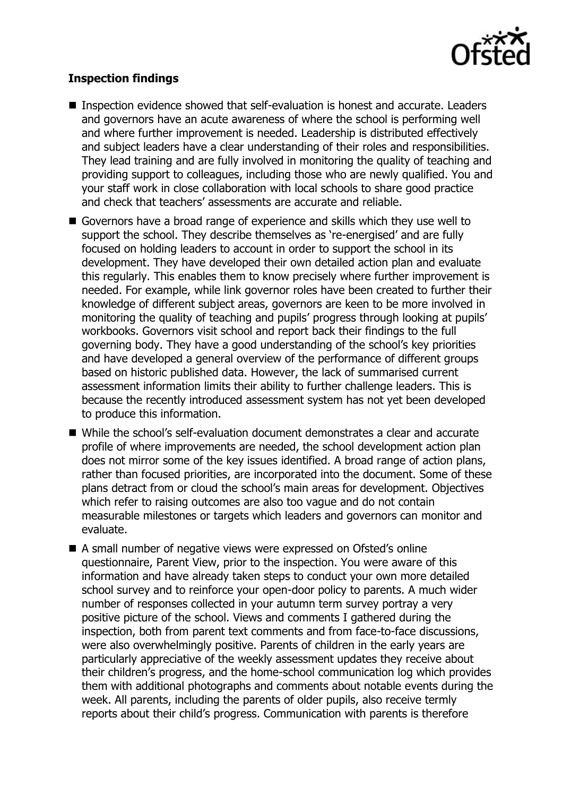

## **Inspection findings**

- Inspection evidence showed that self-evaluation is honest and accurate. Leaders and governors have an acute awareness of where the school is performing well and where further improvement is needed. Leadership is distributed effectively and subject leaders have a clear understanding of their roles and responsibilities. They lead training and are fully involved in monitoring the quality of teaching and providing support to colleagues, including those who are newly qualified. You and your staff work in close collaboration with local schools to share good practice and check that teachers' assessments are accurate and reliable.
- Governors have a broad range of experience and skills which they use well to support the school. They describe themselves as 're-energised' and are fully focused on holding leaders to account in order to support the school in its development. They have developed their own detailed action plan and evaluate this regularly. This enables them to know precisely where further improvement is needed. For example, while link governor roles have been created to further their knowledge of different subject areas, governors are keen to be more involved in monitoring the quality of teaching and pupils' progress through looking at pupils' workbooks. Governors visit school and report back their findings to the full governing body. They have a good understanding of the school's key priorities and have developed a general overview of the performance of different groups based on historic published data. However, the lack of summarised current assessment information limits their ability to further challenge leaders. This is because the recently introduced assessment system has not yet been developed to produce this information.
- While the school's self-evaluation document demonstrates a clear and accurate profile of where improvements are needed, the school development action plan does not mirror some of the key issues identified. A broad range of action plans, rather than focused priorities, are incorporated into the document. Some of these plans detract from or cloud the school's main areas for development. Objectives which refer to raising outcomes are also too vague and do not contain measurable milestones or targets which leaders and governors can monitor and evaluate.
- A small number of negative views were expressed on Ofsted's online questionnaire, Parent View, prior to the inspection. You were aware of this information and have already taken steps to conduct your own more detailed school survey and to reinforce your open-door policy to parents. A much wider number of responses collected in your autumn term survey portray a very positive picture of the school. Views and comments I gathered during the inspection, both from parent text comments and from face-to-face discussions, were also overwhelmingly positive. Parents of children in the early years are particularly appreciative of the weekly assessment updates they receive about their children's progress, and the home-school communication log which provides them with additional photographs and comments about notable events during the week. All parents, including the parents of older pupils, also receive termly reports about their child's progress. Communication with parents is therefore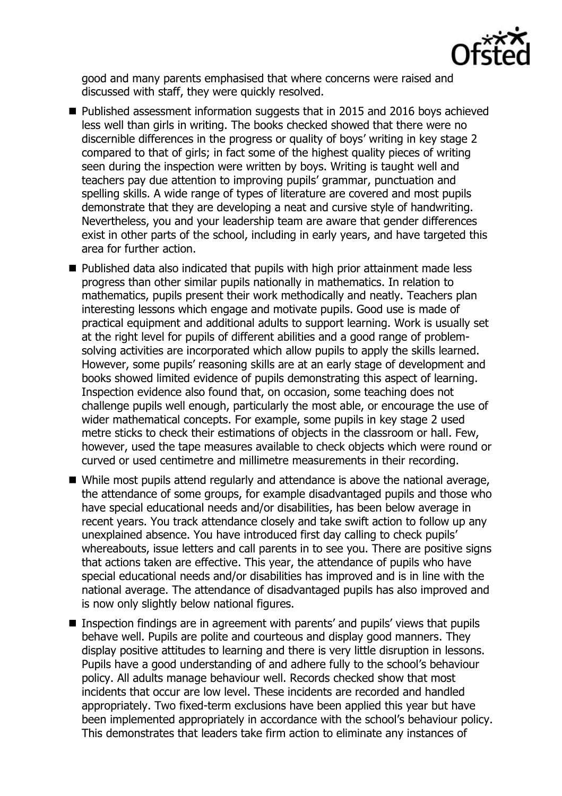

good and many parents emphasised that where concerns were raised and discussed with staff, they were quickly resolved.

- Published assessment information suggests that in 2015 and 2016 boys achieved less well than girls in writing. The books checked showed that there were no discernible differences in the progress or quality of boys' writing in key stage 2 compared to that of girls; in fact some of the highest quality pieces of writing seen during the inspection were written by boys. Writing is taught well and teachers pay due attention to improving pupils' grammar, punctuation and spelling skills. A wide range of types of literature are covered and most pupils demonstrate that they are developing a neat and cursive style of handwriting. Nevertheless, you and your leadership team are aware that gender differences exist in other parts of the school, including in early years, and have targeted this area for further action.
- Published data also indicated that pupils with high prior attainment made less progress than other similar pupils nationally in mathematics. In relation to mathematics, pupils present their work methodically and neatly. Teachers plan interesting lessons which engage and motivate pupils. Good use is made of practical equipment and additional adults to support learning. Work is usually set at the right level for pupils of different abilities and a good range of problemsolving activities are incorporated which allow pupils to apply the skills learned. However, some pupils' reasoning skills are at an early stage of development and books showed limited evidence of pupils demonstrating this aspect of learning. Inspection evidence also found that, on occasion, some teaching does not challenge pupils well enough, particularly the most able, or encourage the use of wider mathematical concepts. For example, some pupils in key stage 2 used metre sticks to check their estimations of objects in the classroom or hall. Few, however, used the tape measures available to check objects which were round or curved or used centimetre and millimetre measurements in their recording.
- While most pupils attend regularly and attendance is above the national average, the attendance of some groups, for example disadvantaged pupils and those who have special educational needs and/or disabilities, has been below average in recent years. You track attendance closely and take swift action to follow up any unexplained absence. You have introduced first day calling to check pupils' whereabouts, issue letters and call parents in to see you. There are positive signs that actions taken are effective. This year, the attendance of pupils who have special educational needs and/or disabilities has improved and is in line with the national average. The attendance of disadvantaged pupils has also improved and is now only slightly below national figures.
- Inspection findings are in agreement with parents' and pupils' views that pupils behave well. Pupils are polite and courteous and display good manners. They display positive attitudes to learning and there is very little disruption in lessons. Pupils have a good understanding of and adhere fully to the school's behaviour policy. All adults manage behaviour well. Records checked show that most incidents that occur are low level. These incidents are recorded and handled appropriately. Two fixed-term exclusions have been applied this year but have been implemented appropriately in accordance with the school's behaviour policy. This demonstrates that leaders take firm action to eliminate any instances of